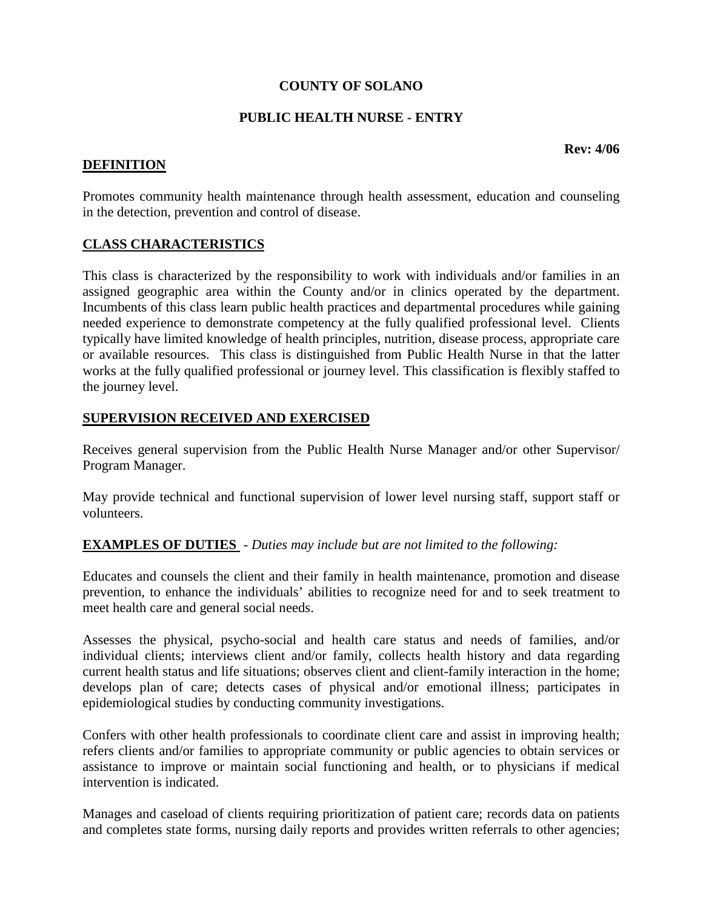# **COUNTY OF SOLANO**

#### **PUBLIC HEALTH NURSE - ENTRY**

## **DEFINITION**

Promotes community health maintenance through health assessment, education and counseling in the detection, prevention and control of disease.

# **CLASS CHARACTERISTICS**

This class is characterized by the responsibility to work with individuals and/or families in an assigned geographic area within the County and/or in clinics operated by the department. Incumbents of this class learn public health practices and departmental procedures while gaining needed experience to demonstrate competency at the fully qualified professional level. Clients typically have limited knowledge of health principles, nutrition, disease process, appropriate care or available resources. This class is distinguished from Public Health Nurse in that the latter works at the fully qualified professional or journey level. This classification is flexibly staffed to the journey level.

## **SUPERVISION RECEIVED AND EXERCISED**

Receives general supervision from the Public Health Nurse Manager and/or other Supervisor/ Program Manager.

May provide technical and functional supervision of lower level nursing staff, support staff or volunteers.

# **EXAMPLES OF DUTIES** - *Duties may include but are not limited to the following:*

Educates and counsels the client and their family in health maintenance, promotion and disease prevention, to enhance the individuals' abilities to recognize need for and to seek treatment to meet health care and general social needs.

Assesses the physical, psycho-social and health care status and needs of families, and/or individual clients; interviews client and/or family, collects health history and data regarding current health status and life situations; observes client and client-family interaction in the home; develops plan of care; detects cases of physical and/or emotional illness; participates in epidemiological studies by conducting community investigations.

Confers with other health professionals to coordinate client care and assist in improving health; refers clients and/or families to appropriate community or public agencies to obtain services or assistance to improve or maintain social functioning and health, or to physicians if medical intervention is indicated.

Manages and caseload of clients requiring prioritization of patient care; records data on patients and completes state forms, nursing daily reports and provides written referrals to other agencies;

**Rev: 4/06**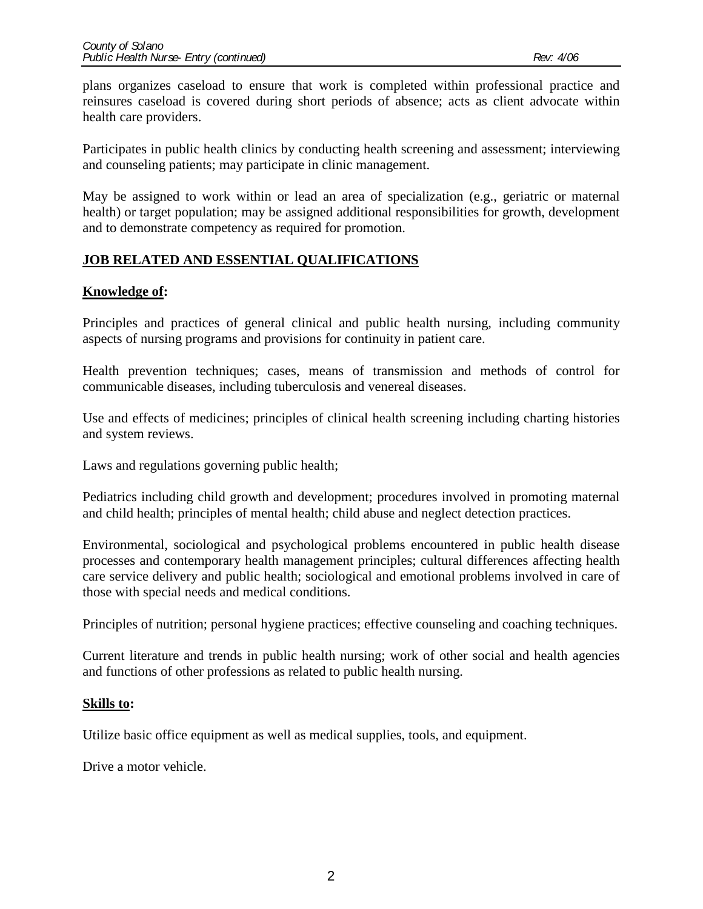plans organizes caseload to ensure that work is completed within professional practice and reinsures caseload is covered during short periods of absence; acts as client advocate within health care providers.

Participates in public health clinics by conducting health screening and assessment; interviewing and counseling patients; may participate in clinic management.

May be assigned to work within or lead an area of specialization (e.g., geriatric or maternal health) or target population; may be assigned additional responsibilities for growth, development and to demonstrate competency as required for promotion.

# **JOB RELATED AND ESSENTIAL QUALIFICATIONS**

# **Knowledge of:**

Principles and practices of general clinical and public health nursing, including community aspects of nursing programs and provisions for continuity in patient care.

Health prevention techniques; cases, means of transmission and methods of control for communicable diseases, including tuberculosis and venereal diseases.

Use and effects of medicines; principles of clinical health screening including charting histories and system reviews.

Laws and regulations governing public health;

Pediatrics including child growth and development; procedures involved in promoting maternal and child health; principles of mental health; child abuse and neglect detection practices.

Environmental, sociological and psychological problems encountered in public health disease processes and contemporary health management principles; cultural differences affecting health care service delivery and public health; sociological and emotional problems involved in care of those with special needs and medical conditions.

Principles of nutrition; personal hygiene practices; effective counseling and coaching techniques.

Current literature and trends in public health nursing; work of other social and health agencies and functions of other professions as related to public health nursing.

## **Skills to:**

Utilize basic office equipment as well as medical supplies, tools, and equipment.

Drive a motor vehicle.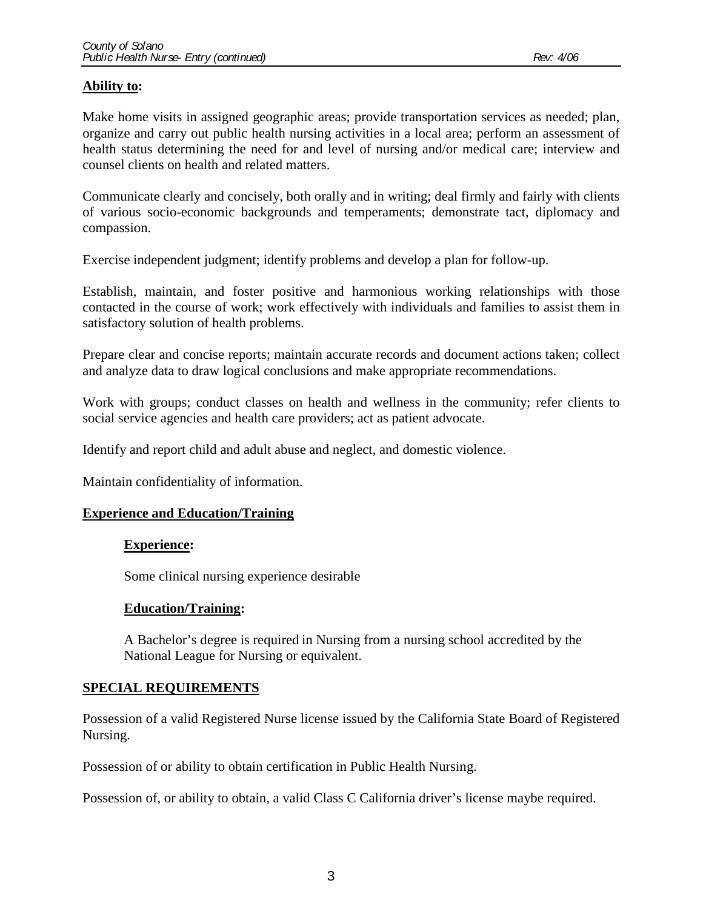## **Ability to:**

Make home visits in assigned geographic areas; provide transportation services as needed; plan, organize and carry out public health nursing activities in a local area; perform an assessment of health status determining the need for and level of nursing and/or medical care; interview and counsel clients on health and related matters.

Communicate clearly and concisely, both orally and in writing; deal firmly and fairly with clients of various socio-economic backgrounds and temperaments; demonstrate tact, diplomacy and compassion.

Exercise independent judgment; identify problems and develop a plan for follow-up.

Establish, maintain, and foster positive and harmonious working relationships with those contacted in the course of work; work effectively with individuals and families to assist them in satisfactory solution of health problems.

Prepare clear and concise reports; maintain accurate records and document actions taken; collect and analyze data to draw logical conclusions and make appropriate recommendations.

Work with groups; conduct classes on health and wellness in the community; refer clients to social service agencies and health care providers; act as patient advocate.

Identify and report child and adult abuse and neglect, and domestic violence.

Maintain confidentiality of information.

#### **Experience and Education/Training**

#### **Experience:**

Some clinical nursing experience desirable

#### **Education/Training:**

A Bachelor's degree is required in Nursing from a nursing school accredited by the National League for Nursing or equivalent.

## **SPECIAL REQUIREMENTS**

Possession of a valid Registered Nurse license issued by the California State Board of Registered Nursing.

Possession of or ability to obtain certification in Public Health Nursing.

Possession of, or ability to obtain, a valid Class C California driver's license maybe required.